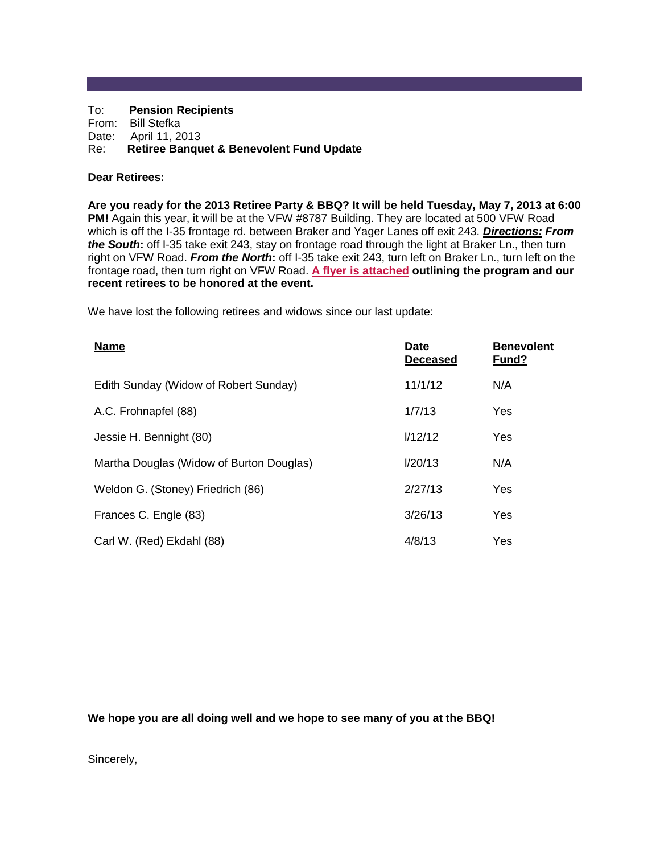#### To: **Pension Recipients** From: Bill Stefka Date: April 11, 2013 Re: **Retiree Banquet & Benevolent Fund Update**

# **Dear Retirees:**

**Are you ready for the 2013 Retiree Party & BBQ? It will be held Tuesday, May 7, 2013 at 6:00 PM!** Again this year, it will be at the VFW #8787 Building. They are located at 500 VFW Road which is off the I-35 frontage rd. between Braker and Yager Lanes off exit 243. *Directions: From the South***:** off I-35 take exit 243, stay on frontage road through the light at Braker Ln., then turn right on VFW Road. *From the North***:** off I-35 take exit 243, turn left on Braker Ln., turn left on the frontage road, then turn right on VFW Road. **[A flyer is attached](http://afrs.org/PensionNotes-2013-04.htm#1) outlining the program and our recent retirees to be honored at the event.**

We have lost the following retirees and widows since our last update:

| <b>Name</b>                              | <b>Date</b><br><b>Deceased</b> | <b>Benevolent</b><br>Fund? |
|------------------------------------------|--------------------------------|----------------------------|
| Edith Sunday (Widow of Robert Sunday)    | 11/1/12                        | N/A                        |
| A.C. Frohnapfel (88)                     | 1/7/13                         | Yes                        |
| Jessie H. Bennight (80)                  | 1/12/12                        | Yes                        |
| Martha Douglas (Widow of Burton Douglas) | 1/20/13                        | N/A                        |
| Weldon G. (Stoney) Friedrich (86)        | 2/27/13                        | Yes                        |
| Frances C. Engle (83)                    | 3/26/13                        | Yes                        |
| Carl W. (Red) Ekdahl (88)                | 4/8/13                         | Yes                        |

**We hope you are all doing well and we hope to see many of you at the BBQ!**

Sincerely,